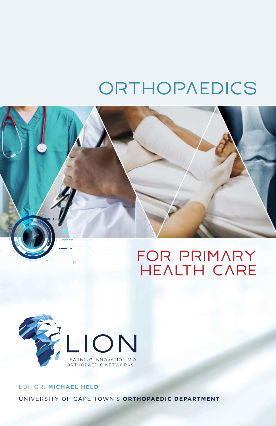# ORTHOPAEDICS





## EDITOR: MICHAEL HELD UNIVERSITY OF CAPE TOWN'S ORTHOPAEDIC DEPARTMENT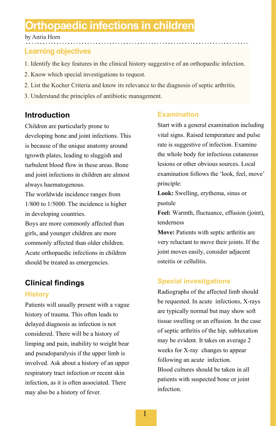## **Orthopaedic infections in children**

by Anria Horn

## **Learning objectives**

- 1. Identify the key features in the clinical history suggestive of an orthopaedic infection.
- 2. Know which special investigations to request.
- 2. List the Kocher Criteria and know its relevance to the diagnosis of septic arthritis.
- 3. Understand the principles of antibiotic management.

## **Introduction**

Children are particularly prone to developing bone and joint infections. This is because of the unique anatomy around tgrowth plates, leading to sluggish and turbulent blood flow in these areas. Bone and joint infections in children are almost always haematogenous.

The worldwide incidence ranges from 1/800 to 1/5000. The incidence is higher in developing countries.

Boys are more commonly affected than girls, and younger children are more commonly affected than older children. Acute orthopaedic infections in children should be treated as emergencies.

## **Clinical findings**

#### **History**

Patients will usually present with a vague history of trauma. This often leads to delayed diagnosis as infection is not considered. There will be a history of limping and pain, inability to weight bear and pseudoparalysis if the upper limb is involved. Ask about a history of an upper respiratory tract infection or recent skin infection, as it is often associated. There may also be a history of fever.

## **Examination**

Start with a general examination including vital signs. Raised temperature and pulse rate is suggestive of infection. Examine the whole body for infectious cutaneous lesions or other obvious sources. Local examination follows the 'look, feel, move' principle:

**Look:** Swelling, erythema, sinus or pustule

**Feel:** Warmth, fluctuance, effusion (joint), tenderness

**Move:** Patients with septic arthritis are very reluctant to move their joints. If the joint moves easily, consider adjacent osteitis or cellulitis.

## **Special investigations**

Radiographs of the affected limb should be requested. In acute infections, X-rays are typically normal but may show soft tissue swelling or an effusion. In the case of septic arthritis of the hip, subluxation may be evident. It takes on average 2 weeks for X-ray changes to appear following an acute infection. Blood cultures should be taken in all patients with suspected bone or joint infection.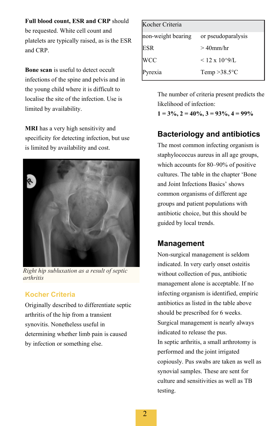**Full blood count, ESR and CRP** should be requested. White cell count and platelets are typically raised, as is the ESR and CRP.

**Bone scan** is useful to detect occult infections of the spine and pelvis and in the young child where it is difficult to localise the site of the infection. Use is limited by availability.

**MRI** has a very high sensitivity and specificity for detecting infection, but use is limited by availability and cost.



*Right hip subluxation as a result of septic arthritis*

## **Kocher Criteria**

Originally described to differentiate septic arthritis of the hip from a transient synovitis. Nonetheless useful in determining whether limb pain is caused by infection or something else.

| Kocher Criteria    |                        |
|--------------------|------------------------|
| non-weight bearing | or pseudoparalysis     |
| <b>ESR</b>         | $>40$ mm/hr            |
| <b>WCC</b>         | $< 12 \times 10^{6}$ . |
| Pyrexia            | Temp $>38.5$ °C        |

The number of criteria present predicts the likelihood of infection:

 $1 = 3\%, 2 = 40\%, 3 = 93\%, 4 = 99\%$ 

## **Bacteriology and antibiotics**

The most common infecting organism is staphylococcus aureus in all age groups, which accounts for 80–90% of positive cultures. The table in the chapter 'Bone and Joint Infections Basics' shows common organisms of different age groups and patient populations with antibiotic choice, but this should be guided by local trends.

## **Management**

Non-surgical management is seldom indicated. In very early onset osteitis without collection of pus, antibiotic management alone is acceptable. If no infecting organism is identified, empiric antibiotics as listed in the table above should be prescribed for 6 weeks. Surgical management is nearly always indicated to release the pus. In septic arthritis, a small arthrotomy is performed and the joint irrigated copiously. Pus swabs are taken as well as synovial samples. These are sent for culture and sensitivities as well as TB testing.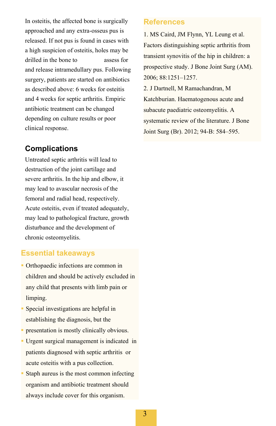In osteitis, the affected bone is surgically approached and any extra-osseus pus is released. If not pus is found in cases with a high suspicion of osteitis, holes may be drilled in the bone to assess for and release intramedullary pus. Following surgery, patients are started on antibiotics as described above: 6 weeks for osteitis and 4 weeks for septic arthritis. Empiric antibiotic treatment can be changed depending on culture results or poor clinical response.

## **Complications**

Untreated septic arthritis will lead to destruction of the joint cartilage and severe arthritis. In the hip and elbow, it may lead to avascular necrosis of the femoral and radial head, respectively. Acute osteitis, even if treated adequately, may lead to pathological fracture, growth disturbance and the development of chronic osteomyelitis.

#### **Essential takeaways**

- Orthopaedic infections are common in children and should be actively excluded in any child that presents with limb pain or limping.
- Special investigations are helpful in establishing the diagnosis, but the
- presentation is mostly clinically obvious.
- Urgent surgical management is indicated in patients diagnosed with septic arthritis or acute osteitis with a pus collection.
- Staph aureus is the most common infecting organism and antibiotic treatment should always include cover for this organism.

### **References**

1. MS Caird, JM Flynn, YL Leung et al. Factors distinguishing septic arthritis from transient synovitis of the hip in children: a prospective study. J Bone Joint Surg (AM). 2006; 88:1251–1257.

2. J Dartnell, M Ramachandran, M Katchburian. Haematogenous acute and subacute paediatric osteomyelitis. A systematic review of the literature. J Bone Joint Surg (Br). 2012; 94-B: 584–595.